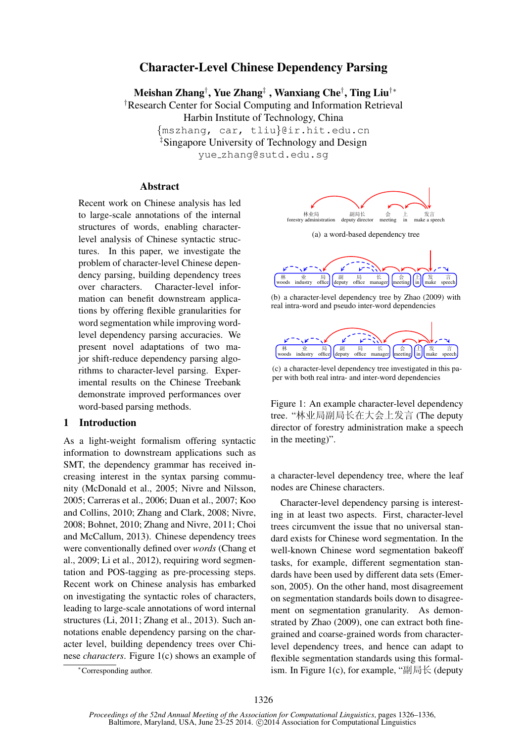# Character-Level Chinese Dependency Parsing

Meishan Zhang† , Yue Zhang‡ , Wanxiang Che† , Ting Liu†∗

†Research Center for Social Computing and Information Retrieval

Harbin Institute of Technology, China

{mszhang, car, tliu}@ir.hit.edu.cn

‡Singapore University of Technology and Design

yue zhang@sutd.edu.sg

### **Abstract**

Recent work on Chinese analysis has led to large-scale annotations of the internal structures of words, enabling characterlevel analysis of Chinese syntactic structures. In this paper, we investigate the problem of character-level Chinese dependency parsing, building dependency trees over characters. Character-level information can benefit downstream applications by offering flexible granularities for word segmentation while improving wordlevel dependency parsing accuracies. We present novel adaptations of two major shift-reduce dependency parsing algorithms to character-level parsing. Experimental results on the Chinese Treebank demonstrate improved performances over word-based parsing methods.

#### 1 Introduction

As a light-weight formalism offering syntactic information to downstream applications such as SMT, the dependency grammar has received increasing interest in the syntax parsing community (McDonald et al., 2005; Nivre and Nilsson, 2005; Carreras et al., 2006; Duan et al., 2007; Koo and Collins, 2010; Zhang and Clark, 2008; Nivre, 2008; Bohnet, 2010; Zhang and Nivre, 2011; Choi and McCallum, 2013). Chinese dependency trees were conventionally defined over *words* (Chang et al., 2009; Li et al., 2012), requiring word segmentation and POS-tagging as pre-processing steps. Recent work on Chinese analysis has embarked on investigating the syntactic roles of characters, leading to large-scale annotations of word internal structures (Li, 2011; Zhang et al., 2013). Such annotations enable dependency parsing on the character level, building dependency trees over Chinese *characters*. Figure 1(c) shows an example of



(a) a word-based dependency tree



(b) a character-level dependency tree by Zhao (2009) with real intra-word and pseudo inter-word dependencies



(c) a character-level dependency tree investigated in this paper with both real intra- and inter-word dependencies

Figure 1: An example character-level dependency tree. "林业局副局长在大会上发言 (The deputy director of forestry administration make a speech in the meeting)".

a character-level dependency tree, where the leaf nodes are Chinese characters.

Character-level dependency parsing is interesting in at least two aspects. First, character-level trees circumvent the issue that no universal standard exists for Chinese word segmentation. In the well-known Chinese word segmentation bakeoff tasks, for example, different segmentation standards have been used by different data sets (Emerson, 2005). On the other hand, most disagreement on segmentation standards boils down to disagreement on segmentation granularity. As demonstrated by Zhao (2009), one can extract both finegrained and coarse-grained words from characterlevel dependency trees, and hence can adapt to flexible segmentation standards using this formalism. In Figure 1(c), for example, "副局长 (deputy

<sup>∗</sup>Corresponding author.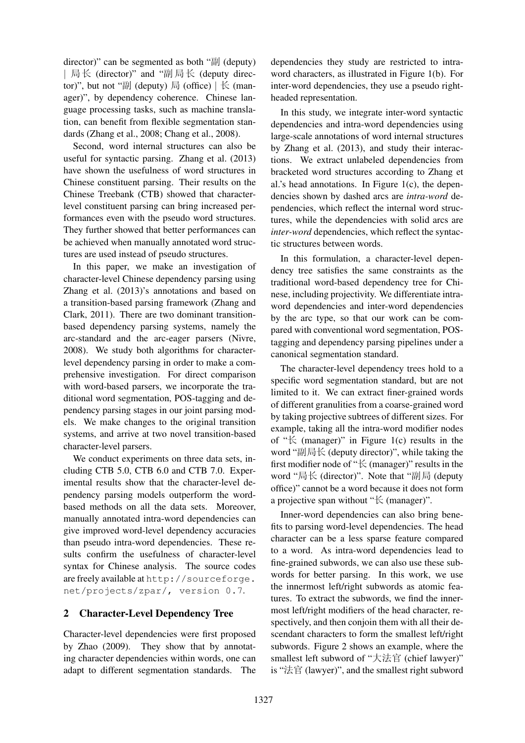director)" can be segmented as both " $\mathbb{E}$ ] (deputy) | 局长 (director)" and "副局长 (deputy director)", but not "副 (deputy) 局 (office)  $\vert \nvert$   $\kappa$  (manager)", by dependency coherence. Chinese language processing tasks, such as machine translation, can benefit from flexible segmentation standards (Zhang et al., 2008; Chang et al., 2008).

Second, word internal structures can also be useful for syntactic parsing. Zhang et al. (2013) have shown the usefulness of word structures in Chinese constituent parsing. Their results on the Chinese Treebank (CTB) showed that characterlevel constituent parsing can bring increased performances even with the pseudo word structures. They further showed that better performances can be achieved when manually annotated word structures are used instead of pseudo structures.

In this paper, we make an investigation of character-level Chinese dependency parsing using Zhang et al. (2013)'s annotations and based on a transition-based parsing framework (Zhang and Clark, 2011). There are two dominant transitionbased dependency parsing systems, namely the arc-standard and the arc-eager parsers (Nivre, 2008). We study both algorithms for characterlevel dependency parsing in order to make a comprehensive investigation. For direct comparison with word-based parsers, we incorporate the traditional word segmentation, POS-tagging and dependency parsing stages in our joint parsing models. We make changes to the original transition systems, and arrive at two novel transition-based character-level parsers.

We conduct experiments on three data sets, including CTB 5.0, CTB 6.0 and CTB 7.0. Experimental results show that the character-level dependency parsing models outperform the wordbased methods on all the data sets. Moreover, manually annotated intra-word dependencies can give improved word-level dependency accuracies than pseudo intra-word dependencies. These results confirm the usefulness of character-level syntax for Chinese analysis. The source codes are freely available at http://sourceforge. net/projects/zpar/, version 0.7.

## 2 Character-Level Dependency Tree

Character-level dependencies were first proposed by Zhao (2009). They show that by annotating character dependencies within words, one can adapt to different segmentation standards. The

dependencies they study are restricted to intraword characters, as illustrated in Figure 1(b). For inter-word dependencies, they use a pseudo rightheaded representation.

In this study, we integrate inter-word syntactic dependencies and intra-word dependencies using large-scale annotations of word internal structures by Zhang et al. (2013), and study their interactions. We extract unlabeled dependencies from bracketed word structures according to Zhang et al.'s head annotations. In Figure  $1(c)$ , the dependencies shown by dashed arcs are *intra-word* dependencies, which reflect the internal word structures, while the dependencies with solid arcs are *inter-word* dependencies, which reflect the syntactic structures between words.

In this formulation, a character-level dependency tree satisfies the same constraints as the traditional word-based dependency tree for Chinese, including projectivity. We differentiate intraword dependencies and inter-word dependencies by the arc type, so that our work can be compared with conventional word segmentation, POStagging and dependency parsing pipelines under a canonical segmentation standard.

The character-level dependency trees hold to a specific word segmentation standard, but are not limited to it. We can extract finer-grained words of different granulities from a coarse-grained word by taking projective subtrees of different sizes. For example, taking all the intra-word modifier nodes of " $\&$  (manager)" in Figure 1(c) results in the word "副局长 (deputy director)", while taking the first modifier node of "长 (manager)" results in the word "局长 (director)". Note that "副局 (deputy office)" cannot be a word because it does not form a projective span without "长 (manager)".

Inner-word dependencies can also bring benefits to parsing word-level dependencies. The head character can be a less sparse feature compared to a word. As intra-word dependencies lead to fine-grained subwords, we can also use these subwords for better parsing. In this work, we use the innermost left/right subwords as atomic features. To extract the subwords, we find the innermost left/right modifiers of the head character, respectively, and then conjoin them with all their descendant characters to form the smallest left/right subwords. Figure 2 shows an example, where the smallest left subword of "大法官 (chief lawyer)" is "法官 (lawyer)", and the smallest right subword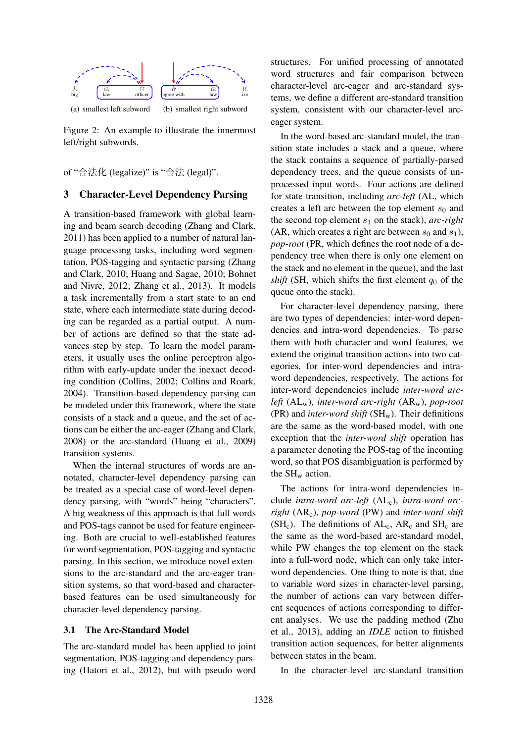

Figure 2: An example to illustrate the innermost left/right subwords.

of "合法化 (legalize)" is "合法 (legal)".

## 3 Character-Level Dependency Parsing

A transition-based framework with global learning and beam search decoding (Zhang and Clark, 2011) has been applied to a number of natural language processing tasks, including word segmentation, POS-tagging and syntactic parsing (Zhang and Clark, 2010; Huang and Sagae, 2010; Bohnet and Nivre, 2012; Zhang et al., 2013). It models a task incrementally from a start state to an end state, where each intermediate state during decoding can be regarded as a partial output. A number of actions are defined so that the state advances step by step. To learn the model parameters, it usually uses the online perceptron algorithm with early-update under the inexact decoding condition (Collins, 2002; Collins and Roark, 2004). Transition-based dependency parsing can be modeled under this framework, where the state consists of a stack and a queue, and the set of actions can be either the arc-eager (Zhang and Clark, 2008) or the arc-standard (Huang et al., 2009) transition systems.

When the internal structures of words are annotated, character-level dependency parsing can be treated as a special case of word-level dependency parsing, with "words" being "characters". A big weakness of this approach is that full words and POS-tags cannot be used for feature engineering. Both are crucial to well-established features for word segmentation, POS-tagging and syntactic parsing. In this section, we introduce novel extensions to the arc-standard and the arc-eager transition systems, so that word-based and characterbased features can be used simultaneously for character-level dependency parsing.

## 3.1 The Arc-Standard Model

The arc-standard model has been applied to joint segmentation, POS-tagging and dependency parsing (Hatori et al., 2012), but with pseudo word

structures. For unified processing of annotated word structures and fair comparison between character-level arc-eager and arc-standard systems, we define a different arc-standard transition system, consistent with our character-level arceager system.

In the word-based arc-standard model, the transition state includes a stack and a queue, where the stack contains a sequence of partially-parsed dependency trees, and the queue consists of unprocessed input words. Four actions are defined for state transition, including *arc-left* (AL, which creates a left arc between the top element  $s_0$  and the second top element  $s_1$  on the stack), *arc-right* (AR, which creates a right arc between  $s_0$  and  $s_1$ ), *pop-root* (PR, which defines the root node of a dependency tree when there is only one element on the stack and no element in the queue), and the last *shift* (SH, which shifts the first element  $q_0$  of the queue onto the stack).

For character-level dependency parsing, there are two types of dependencies: inter-word dependencies and intra-word dependencies. To parse them with both character and word features, we extend the original transition actions into two categories, for inter-word dependencies and intraword dependencies, respectively. The actions for inter-word dependencies include *inter-word arcleft* (ALw), *inter-word arc-right* (ARw), *pop-root* (PR) and *inter-word shift* (SHw). Their definitions are the same as the word-based model, with one exception that the *inter-word shift* operation has a parameter denoting the POS-tag of the incoming word, so that POS disambiguation is performed by the  $SH_w$  action.

The actions for intra-word dependencies include *intra-word arc-left* (AL<sub>c</sub>), *intra-word arcright* (ARc), *pop-word* (PW) and *inter-word shift*  $(SH_c)$ . The definitions of  $AL_c$ ,  $AR_c$  and  $SH_c$  are the same as the word-based arc-standard model, while PW changes the top element on the stack into a full-word node, which can only take interword dependencies. One thing to note is that, due to variable word sizes in character-level parsing, the number of actions can vary between different sequences of actions corresponding to different analyses. We use the padding method (Zhu et al., 2013), adding an *IDLE* action to finished transition action sequences, for better alignments between states in the beam.

In the character-level arc-standard transition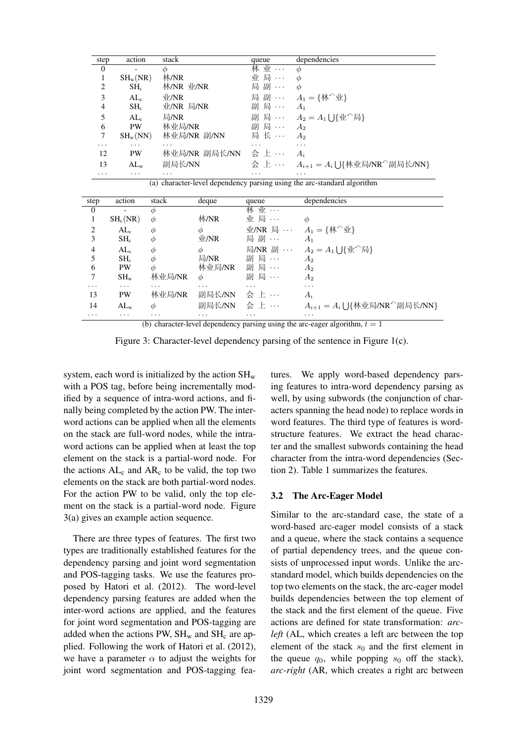| step             | action                                                                  | stack                | queue         | dependencies                                                             |  |  |  |  |  |  |
|------------------|-------------------------------------------------------------------------|----------------------|---------------|--------------------------------------------------------------------------|--|--|--|--|--|--|
| $\boldsymbol{0}$ |                                                                         | Ф                    | 林 业 …         | $\phi$                                                                   |  |  |  |  |  |  |
| 1                | $SH_w(NR)$                                                              | 林/NR                 | 业 局 …         | $\phi$                                                                   |  |  |  |  |  |  |
| 2                | $SH_c$                                                                  | 林/NR 业/NR            | 局 副           | $\phi$                                                                   |  |  |  |  |  |  |
| 3                | AL <sub>c</sub>                                                         | V/NR                 |               | 局 副 … $A_1 = \{ \mathbf{\hat{W}}^{\cap} \mathbf{\underline{\hat{W}}} \}$ |  |  |  |  |  |  |
| $\overline{4}$   | $\rm SH_{c}$                                                            | 业/NR 局/NR            | 副 局 ··· $A_1$ |                                                                          |  |  |  |  |  |  |
| 5                | $AL_c$                                                                  | 局/NR                 |               | 副 局 … $A_2 = A_1 \cup {\mathbb R}^{\wedge}$ 局                            |  |  |  |  |  |  |
| 6                | <b>PW</b>                                                               | 林业局/NR               | 副局 …          | $A_2$                                                                    |  |  |  |  |  |  |
| 7                | $SH_w(NN)$                                                              | 林业局/NR 副/NN          | 局 长 …         | A <sub>2</sub>                                                           |  |  |  |  |  |  |
|                  | $\cdots$                                                                | .                    | $\cdots$      | .                                                                        |  |  |  |  |  |  |
| 12               | PW                                                                      | 林业局/NR 副局长/NN  会 上 … |               | $A_i$                                                                    |  |  |  |  |  |  |
| 13               | $AL_{w}$                                                                | 副局长/NN               |               | 会 上 … $A_{i+1} = A_i \cup \{\text{**m} \mid \text{**m} \}$ 局长/NN}        |  |  |  |  |  |  |
| $\cdots$         | .                                                                       | .                    | .             | .                                                                        |  |  |  |  |  |  |
|                  | (a) character-level dependency parsing using the arc-standard algorithm |                      |               |                                                                          |  |  |  |  |  |  |

| step           | action     | stack    | deque            | queue   | dependencies                                                              |
|----------------|------------|----------|------------------|---------|---------------------------------------------------------------------------|
| $\theta$       |            | Ф        |                  | 林 业 …   |                                                                           |
|                | $SH_c(NR)$ | $\phi$   | 林/NR             | 业 局 …   | $\phi$                                                                    |
| $\overline{2}$ | $AL_c$     | Φ        | $\phi$           |         | 业/NR 局 … $A_1 = \{ \mathbf{\mathcal{W}}^{\wedge} \mathbf{\mathcal{P}} \}$ |
| 3              | $SH_c$     | Φ        | V/NR             | 局 副 …   | $A_1$                                                                     |
| 4              | $AL_c$     | Φ        | $\phi$           |         | 局/NR 副 … $A_2 = A_1 \cup {\{\mathcal{W}^\cap\}}$ 局                        |
| 5              | $SH_c$     | $\phi$   | 局/NR             | 副 局     | A <sub>2</sub>                                                            |
| 6              | PW         | Φ        | 林业局/NR           | 副 局 …   | $A_2$                                                                     |
| 7              | $SH_{w}$   | 林业局/NR   | $\phi$           | 副 局 …   | A <sub>2</sub>                                                            |
| $\cdot$        | $\cdots$   | $\cdots$ | $\ddotsc$        | .       | $\cdot$                                                                   |
| 13             | <b>PW</b>  | 林业局/NR   | 副局长/NN           | 会 上 …   | $A_i$                                                                     |
| 14             | $AL_{w}$   | Φ        | 副局长/NN           | 会 上 …   | $A_{i+1} = A_i \cup {\{\text{**}\}\text{R/NR}^{\wedge}}$ 副局长/NN}          |
| $\cdots$       | $\cdots$   | .        | $\cdots$<br>$ -$ | $\cdot$ | $\cdot$<br>$\sim$ $\sim$                                                  |

(b) character-level dependency parsing using the arc-eager algorithm,  $t = 1$ 

Figure 3: Character-level dependency parsing of the sentence in Figure 1(c).

system, each word is initialized by the action  $SH_{w}$ with a POS tag, before being incrementally modified by a sequence of intra-word actions, and finally being completed by the action PW. The interword actions can be applied when all the elements on the stack are full-word nodes, while the intraword actions can be applied when at least the top element on the stack is a partial-word node. For the actions  $AL_c$  and  $AR_c$  to be valid, the top two elements on the stack are both partial-word nodes. For the action PW to be valid, only the top element on the stack is a partial-word node. Figure 3(a) gives an example action sequence.

There are three types of features. The first two types are traditionally established features for the dependency parsing and joint word segmentation and POS-tagging tasks. We use the features proposed by Hatori et al. (2012). The word-level dependency parsing features are added when the inter-word actions are applied, and the features for joint word segmentation and POS-tagging are added when the actions PW,  $SH_w$  and  $SH_c$  are applied. Following the work of Hatori et al. (2012), we have a parameter  $\alpha$  to adjust the weights for joint word segmentation and POS-tagging features. We apply word-based dependency parsing features to intra-word dependency parsing as well, by using subwords (the conjunction of characters spanning the head node) to replace words in word features. The third type of features is wordstructure features. We extract the head character and the smallest subwords containing the head character from the intra-word dependencies (Section 2). Table 1 summarizes the features.

## 3.2 The Arc-Eager Model

Similar to the arc-standard case, the state of a word-based arc-eager model consists of a stack and a queue, where the stack contains a sequence of partial dependency trees, and the queue consists of unprocessed input words. Unlike the arcstandard model, which builds dependencies on the top two elements on the stack, the arc-eager model builds dependencies between the top element of the stack and the first element of the queue. Five actions are defined for state transformation: *arcleft* (AL, which creates a left arc between the top element of the stack  $s_0$  and the first element in the queue  $q_0$ , while popping  $s_0$  off the stack), *arc-right* (AR, which creates a right arc between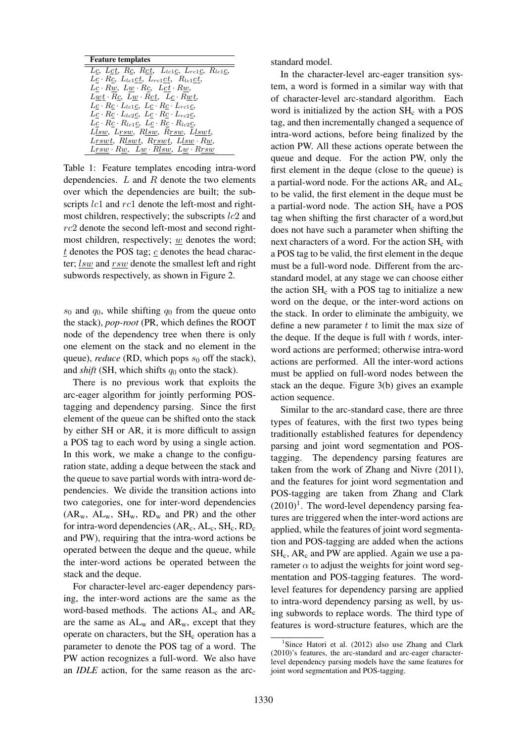| <b>Feature templates</b>                                                      |
|-------------------------------------------------------------------------------|
| Lc, Lct, Rc, Rct, L <sub>tc1</sub> c, L <sub>rc1</sub> c, R <sub>tc1</sub> c, |
| $Lc \cdot Rc$ , $L_{lc1}ct$ , $L_{rc1}ct$ , $R_{lc1}ct$ ,                     |
| $Lc \cdot Rw$ , $Lw \cdot Rc$ , $Lct \cdot Rw$ ,                              |
| $Lwt \cdot Rc$ , $Lw \cdot Rct$ , $Lc \cdot Rwt$ ,                            |
| $Lc \cdot Rc \cdot L_{lc1}c$ , $Lc \cdot Rc \cdot L_{rc1}c$ ,                 |
| $Lc \cdot Rc \cdot L_{lc2}c$ , $Lc \cdot Rc \cdot L_{rc2}c$ ,                 |
| $Lc \cdot Rc \cdot R_{lc1}c$ , $Lc \cdot Rc \cdot R_{lc2}c$ ,                 |
| Llsw, Lrsw, Rlsw, Rrsw, Llswt,                                                |
| $Lrswt$ , $Rlswt$ , $Rrswt$ , $Llsw \cdot Rw$ ,                               |
| $Lrsw \cdot Rw$ , $Lw \cdot Rlsw$ , $Lw \cdot Rrsw$                           |

Table 1: Feature templates encoding intra-word dependencies.  $L$  and  $R$  denote the two elements over which the dependencies are built; the subscripts *lc*1 and *rc*1 denote the left-most and rightmost children, respectively; the subscripts  $lc2$  and  $rc2$  denote the second left-most and second rightmost children, respectively;  $w$  denotes the word;  $t$  denotes the POS tag;  $c$  denotes the head character;  $lsw$  and  $rsw$  denote the smallest left and right subwords respectively, as shown in Figure 2.

 $s_0$  and  $q_0$ , while shifting  $q_0$  from the queue onto the stack), *pop-root* (PR, which defines the ROOT node of the dependency tree when there is only one element on the stack and no element in the queue), *reduce* (RD, which pops  $s_0$  off the stack), and *shift* (SH, which shifts  $q_0$  onto the stack).

There is no previous work that exploits the arc-eager algorithm for jointly performing POStagging and dependency parsing. Since the first element of the queue can be shifted onto the stack by either SH or AR, it is more difficult to assign a POS tag to each word by using a single action. In this work, we make a change to the configuration state, adding a deque between the stack and the queue to save partial words with intra-word dependencies. We divide the transition actions into two categories, one for inter-word dependencies  $(AR_w, AL_w, SH_w, RD_w$  and PR) and the other for intra-word dependencies  $(AR_c, AL_c, SH_c, RD_c)$ and PW), requiring that the intra-word actions be operated between the deque and the queue, while the inter-word actions be operated between the stack and the deque.

For character-level arc-eager dependency parsing, the inter-word actions are the same as the word-based methods. The actions  $AL_c$  and  $AR_c$ are the same as  $AL_w$  and  $AR_w$ , except that they operate on characters, but the  $SH<sub>c</sub>$  operation has a parameter to denote the POS tag of a word. The PW action recognizes a full-word. We also have an *IDLE* action, for the same reason as the arcstandard model.

In the character-level arc-eager transition system, a word is formed in a similar way with that of character-level arc-standard algorithm. Each word is initialized by the action  $SH<sub>c</sub>$  with a POS tag, and then incrementally changed a sequence of intra-word actions, before being finalized by the action PW. All these actions operate between the queue and deque. For the action PW, only the first element in the deque (close to the queue) is a partial-word node. For the actions  $AR_c$  and  $AL_c$ to be valid, the first element in the deque must be a partial-word node. The action  $SH<sub>c</sub>$  have a POS tag when shifting the first character of a word,but does not have such a parameter when shifting the next characters of a word. For the action  $SH<sub>c</sub>$  with a POS tag to be valid, the first element in the deque must be a full-word node. Different from the arcstandard model, at any stage we can choose either the action  $SH<sub>c</sub>$  with a POS tag to initialize a new word on the deque, or the inter-word actions on the stack. In order to eliminate the ambiguity, we define a new parameter  $t$  to limit the max size of the deque. If the deque is full with  $t$  words, interword actions are performed; otherwise intra-word actions are performed. All the inter-word actions must be applied on full-word nodes between the stack an the deque. Figure 3(b) gives an example action sequence.

Similar to the arc-standard case, there are three types of features, with the first two types being traditionally established features for dependency parsing and joint word segmentation and POStagging. The dependency parsing features are taken from the work of Zhang and Nivre (2011), and the features for joint word segmentation and POS-tagging are taken from Zhang and Clark  $(2010)^1$ . The word-level dependency parsing features are triggered when the inter-word actions are applied, while the features of joint word segmentation and POS-tagging are added when the actions  $SH<sub>c</sub>$ , AR<sub>c</sub> and PW are applied. Again we use a parameter  $\alpha$  to adjust the weights for joint word segmentation and POS-tagging features. The wordlevel features for dependency parsing are applied to intra-word dependency parsing as well, by using subwords to replace words. The third type of features is word-structure features, which are the

<sup>&</sup>lt;sup>1</sup>Since Hatori et al. (2012) also use Zhang and Clark (2010)'s features, the arc-standard and arc-eager characterlevel dependency parsing models have the same features for joint word segmentation and POS-tagging.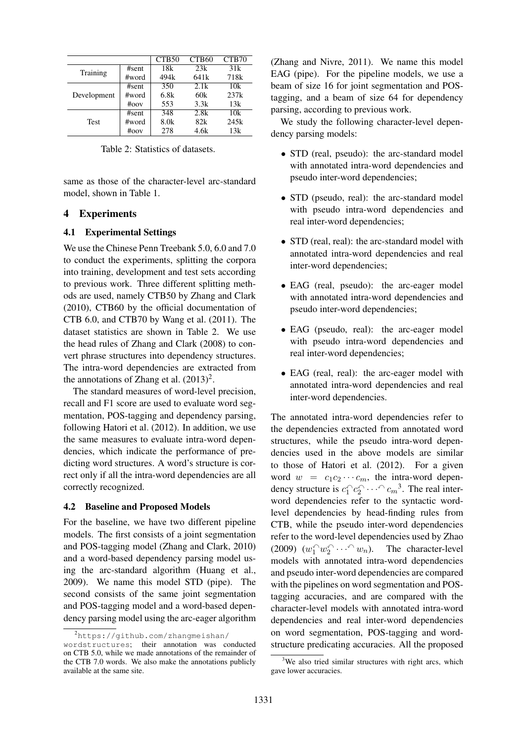|             |          | CTB <sub>50</sub> | CTB60            | CTB <sub>70</sub> |
|-------------|----------|-------------------|------------------|-------------------|
| Training    | #sent    | 18k               | 23k              | 31k               |
|             | #word    | 494k              | 641 <sub>k</sub> | 718 <sub>k</sub>  |
|             | #sent    | 350               | 2.1k             | 10k               |
| Development | #word    | 6.8k              | 60k              | 237k              |
|             | $\#$ oov | 553               | 3.3k             | 13k               |
|             | #sent    | 348               | 2.8k             | 10k               |
| <b>Test</b> | #word    | 8.0 <sub>k</sub>  | 82k              | 245k              |
|             | $\#$ oov | 278               | 4.6k             | 13k               |

Table 2: Statistics of datasets.

same as those of the character-level arc-standard model, shown in Table 1.

### 4 Experiments

#### 4.1 Experimental Settings

We use the Chinese Penn Treebank 5.0, 6.0 and 7.0 to conduct the experiments, splitting the corpora into training, development and test sets according to previous work. Three different splitting methods are used, namely CTB50 by Zhang and Clark (2010), CTB60 by the official documentation of CTB 6.0, and CTB70 by Wang et al. (2011). The dataset statistics are shown in Table 2. We use the head rules of Zhang and Clark (2008) to convert phrase structures into dependency structures. The intra-word dependencies are extracted from the annotations of Zhang et al.  $(2013)^2$ .

The standard measures of word-level precision, recall and F1 score are used to evaluate word segmentation, POS-tagging and dependency parsing, following Hatori et al. (2012). In addition, we use the same measures to evaluate intra-word dependencies, which indicate the performance of predicting word structures. A word's structure is correct only if all the intra-word dependencies are all correctly recognized.

#### 4.2 Baseline and Proposed Models

For the baseline, we have two different pipeline models. The first consists of a joint segmentation and POS-tagging model (Zhang and Clark, 2010) and a word-based dependency parsing model using the arc-standard algorithm (Huang et al., 2009). We name this model STD (pipe). The second consists of the same joint segmentation and POS-tagging model and a word-based dependency parsing model using the arc-eager algorithm (Zhang and Nivre, 2011). We name this model EAG (pipe). For the pipeline models, we use a beam of size 16 for joint segmentation and POStagging, and a beam of size 64 for dependency parsing, according to previous work.

We study the following character-level dependency parsing models:

- STD (real, pseudo): the arc-standard model with annotated intra-word dependencies and pseudo inter-word dependencies;
- STD (pseudo, real): the arc-standard model with pseudo intra-word dependencies and real inter-word dependencies;
- STD (real, real): the arc-standard model with annotated intra-word dependencies and real inter-word dependencies;
- EAG (real, pseudo): the arc-eager model with annotated intra-word dependencies and pseudo inter-word dependencies;
- EAG (pseudo, real): the arc-eager model with pseudo intra-word dependencies and real inter-word dependencies;
- EAG (real, real): the arc-eager model with annotated intra-word dependencies and real inter-word dependencies.

The annotated intra-word dependencies refer to the dependencies extracted from annotated word structures, while the pseudo intra-word dependencies used in the above models are similar to those of Hatori et al. (2012). For a given word  $w = c_1c_2 \cdots c_m$ , the intra-word dependency structure is  $c_1^c c_2^c \cdots^c c_m^3$ . The real interword dependencies refer to the syntactic wordlevel dependencies by head-finding rules from CTB, while the pseudo inter-word dependencies refer to the word-level dependencies used by Zhao (2009)  $(w_1^{\frown} w_2^{\frown} \cdots^{\frown} w_n)$ . The character-level models with annotated intra-word dependencies and pseudo inter-word dependencies are compared with the pipelines on word segmentation and POStagging accuracies, and are compared with the character-level models with annotated intra-word dependencies and real inter-word dependencies on word segmentation, POS-tagging and wordstructure predicating accuracies. All the proposed

<sup>2</sup>https://github.com/zhangmeishan/

wordstructures; their annotation was conducted on CTB 5.0, while we made annotations of the remainder of the CTB 7.0 words. We also make the annotations publicly available at the same site.

 $3$ We also tried similar structures with right arcs, which gave lower accuracies.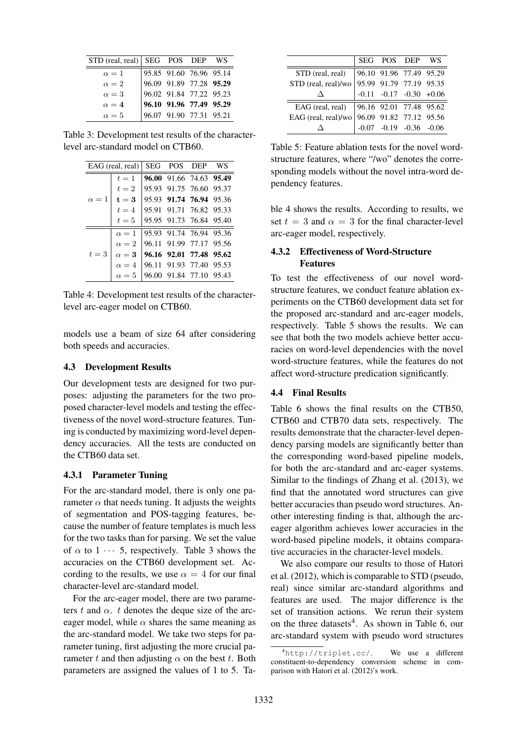| STD (real, real)   SEG POS DEP WS |                                                                                                          |  |
|-----------------------------------|----------------------------------------------------------------------------------------------------------|--|
| $\alpha = 1$                      | 95.85 91.60 76.96 95.14<br>96.09 91.89 77.28 95.29<br>96.02 91.84 77.22 95.23<br>96.10 91.96 77.49 95.29 |  |
| $\alpha = 2$                      |                                                                                                          |  |
| $\alpha = 3$                      |                                                                                                          |  |
| $\alpha = 4$                      |                                                                                                          |  |
| $\alpha = 5$                      | 96.07 91.90 77.31 95.21                                                                                  |  |

Table 3: Development test results of the characterlevel arc-standard model on CTB60.

|              | EAG (real, real)   SEG POS DEP         |                         |                         | WS |
|--------------|----------------------------------------|-------------------------|-------------------------|----|
|              | $t=1$                                  |                         | 96.00 91.66 74.63 95.49 |    |
|              | $t=2$                                  |                         | 95.93 91.75 76.60 95.37 |    |
| $\alpha = 1$ | $t=3$                                  | 95.93 91.74 76.94 95.36 |                         |    |
|              | $t=4$                                  | 95.91 91.71 76.82 95.33 |                         |    |
|              | $t=5$                                  |                         | 95.95 91.73 76.84 95.40 |    |
|              | $\alpha = 1$                           |                         | 95.93 91.74 76.94 95.36 |    |
|              | $\alpha = 2$                           |                         | 96.11 91.99 77.17 95.56 |    |
| $t=3$        | $\alpha = 3$   96.16 92.01 77.48 95.62 |                         |                         |    |
|              | $\alpha = 4$   96.11 91.93 77.40 95.53 |                         |                         |    |
|              | $\alpha = 5$                           | 96.00 91.84 77.10 95.43 |                         |    |

Table 4: Development test results of the characterlevel arc-eager model on CTB60.

models use a beam of size 64 after considering both speeds and accuracies.

#### 4.3 Development Results

Our development tests are designed for two purposes: adjusting the parameters for the two proposed character-level models and testing the effectiveness of the novel word-structure features. Tuning is conducted by maximizing word-level dependency accuracies. All the tests are conducted on the CTB60 data set.

#### 4.3.1 Parameter Tuning

For the arc-standard model, there is only one parameter  $\alpha$  that needs tuning. It adjusts the weights of segmentation and POS-tagging features, because the number of feature templates is much less for the two tasks than for parsing. We set the value of  $\alpha$  to 1  $\cdots$  5, respectively. Table 3 shows the accuracies on the CTB60 development set. According to the results, we use  $\alpha = 4$  for our final character-level arc-standard model.

For the arc-eager model, there are two parameters t and  $\alpha$ . t denotes the deque size of the arceager model, while  $\alpha$  shares the same meaning as the arc-standard model. We take two steps for parameter tuning, first adjusting the more crucial parameter t and then adjusting  $\alpha$  on the best t. Both parameters are assigned the values of 1 to 5. Ta-

|                                                                                                                                                                                                                                                                                                |  | SEG POS DEP WS |  |
|------------------------------------------------------------------------------------------------------------------------------------------------------------------------------------------------------------------------------------------------------------------------------------------------|--|----------------|--|
|                                                                                                                                                                                                                                                                                                |  |                |  |
|                                                                                                                                                                                                                                                                                                |  |                |  |
| STD (real, real) $\begin{array}{ l l l } \hline \text{STD (real, real)} & \text{96.10} & \text{91.96} & \text{77.49} & \text{95.29} \\ \text{STD (real, real)/wo} & \text{95.99} & \text{91.79} & \text{77.19} & \text{95.35} \\ \Delta & -0.11 & -0.17 & -0.30 & +0.06 \\ \hline \end{array}$ |  |                |  |
|                                                                                                                                                                                                                                                                                                |  |                |  |
|                                                                                                                                                                                                                                                                                                |  |                |  |
| EAG (real, real) $\begin{array}{ l l l } \hline \text{EAG (real, real)} & 96.16 & 92.01 & 77.48 & 95.62 \\ \hline \text{EAG (real, real)/wo} & 96.09 & 91.82 & 77.12 & 95.56 \\ \Delta & -0.07 & -0.19 & -0.36 & -0.06 \\ \hline \end{array}$                                                  |  |                |  |

Table 5: Feature ablation tests for the novel wordstructure features, where "/wo" denotes the corresponding models without the novel intra-word dependency features.

ble 4 shows the results. According to results, we set  $t = 3$  and  $\alpha = 3$  for the final character-level arc-eager model, respectively.

## 4.3.2 Effectiveness of Word-Structure Features

To test the effectiveness of our novel wordstructure features, we conduct feature ablation experiments on the CTB60 development data set for the proposed arc-standard and arc-eager models, respectively. Table 5 shows the results. We can see that both the two models achieve better accuracies on word-level dependencies with the novel word-structure features, while the features do not affect word-structure predication significantly.

## 4.4 Final Results

Table 6 shows the final results on the CTB50, CTB60 and CTB70 data sets, respectively. The results demonstrate that the character-level dependency parsing models are significantly better than the corresponding word-based pipeline models, for both the arc-standard and arc-eager systems. Similar to the findings of Zhang et al. (2013), we find that the annotated word structures can give better accuracies than pseudo word structures. Another interesting finding is that, although the arceager algorithm achieves lower accuracies in the word-based pipeline models, it obtains comparative accuracies in the character-level models.

We also compare our results to those of Hatori et al. (2012), which is comparable to STD (pseudo, real) since similar arc-standard algorithms and features are used. The major difference is the set of transition actions. We rerun their system on the three datasets<sup>4</sup>. As shown in Table 6, our arc-standard system with pseudo word structures

<sup>4</sup>http://triplet.cc/. We use a different constituent-to-dependency conversion scheme in comparison with Hatori et al. (2012)'s work.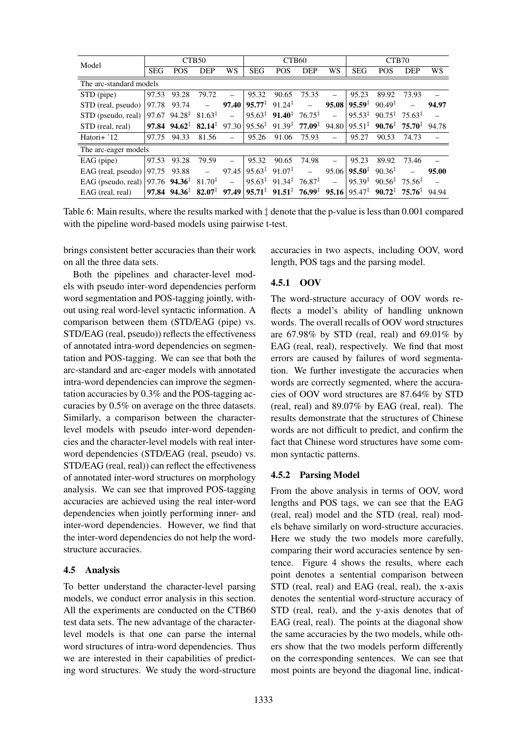| Model                   |            |                                                                       | CTB <sub>50</sub>        |                          |                                                           | CTB60                                                                             |                          |          | CTB70              |                                                                 |            |       |
|-------------------------|------------|-----------------------------------------------------------------------|--------------------------|--------------------------|-----------------------------------------------------------|-----------------------------------------------------------------------------------|--------------------------|----------|--------------------|-----------------------------------------------------------------|------------|-------|
|                         | <b>SEG</b> | <b>POS</b>                                                            | <b>DEP</b>               | WS                       | <b>SEG</b>                                                | <b>POS</b>                                                                        | <b>DEP</b>               | WS       | <b>SEG</b>         | <b>POS</b>                                                      | <b>DEP</b> | WS    |
| The arc-standard models |            |                                                                       |                          |                          |                                                           |                                                                                   |                          |          |                    |                                                                 |            |       |
| STD (pipe)              | 97.53      | 93.28                                                                 | 79.72                    |                          | 95.32                                                     | 90.65                                                                             | 75.35                    |          | 95.23              | 89.92                                                           | 73.93      |       |
| STD (real, pseudo)      | 97.78      | 93.74                                                                 | $\overline{\phantom{m}}$ | 97.40                    | $95.77^{\ddagger}$ 91.24 <sup><math>\ddagger</math></sup> |                                                                                   | $\equiv$                 | 95.08    | $95.59^{\ddagger}$ | $90.49^{\ddagger}$                                              |            | 94.97 |
| STD (pseudo, real)      | 97.67      | $94.28^{\ddagger}$                                                    | $81.63^{\ddagger}$       | $\equiv$                 |                                                           | $95.63^{\ddagger}$ 91.40 <sup>‡</sup>                                             | $76.75^{\ddagger}$       | $\equiv$ | $95.53^{\ddagger}$ | $90.75^{\ddagger}$ 75.63 <sup><math>\ddagger</math></sup>       |            |       |
| STD (real, real)        |            | 97.84 $94.62^{\ddagger}$ 82.14 <sup><math>\ddagger</math></sup> 97.30 |                          |                          |                                                           | $95.56^{\ddagger}$ 91.39 <sup>‡</sup>                                             | $77.09^{\ddagger}$       | 94.80    | $95.51^{\ddagger}$ | $90.76^{\ddagger}$ 75.70 <sup><math>\ddagger</math></sup>       |            | 94.78 |
| Hatori+ '12             | 97.75      | 94.33                                                                 | 81.56                    |                          | 95.26                                                     | 91.06                                                                             | 75.93                    |          | 95.27              | 90.53                                                           | 74.73      |       |
| The arc-eager models    |            |                                                                       |                          |                          |                                                           |                                                                                   |                          |          |                    |                                                                 |            |       |
| $EAG$ (pipe)            | 97.53      | 93.28                                                                 | 79.59                    |                          | 95.32                                                     | 90.65                                                                             | 74.98                    |          | 95.23              | 89.92                                                           | 73.46      |       |
| EAG (real, pseudo)      | 97.75      | 93.88                                                                 | $\overline{\phantom{m}}$ | 97.45                    | $95.63^{\ddagger}$ 91.07 <sup><math>\ddagger</math></sup> |                                                                                   | $\overline{\phantom{m}}$ | 95.06    | $95.50^{\ddagger}$ | $90.36^{\ddagger}$                                              |            | 95.00 |
| EAG (pseudo, real)      |            | 97.76 $94.36^{\ddagger}$                                              | $81.70^{\ddagger}$       | $\overline{\phantom{m}}$ |                                                           | $95.63^{\ddagger}$ 91.34 <sup><math>\ddagger</math></sup>                         | $76.87^{\ddagger}$       |          | $95.39^{\ddagger}$ | $90.56^{\frac{1}{4}}$ 75.56 <sup><math>\frac{1}{4}</math></sup> |            |       |
| EAG (real, real)        |            | 97.84 $94.36^{\ddagger}$ 82.07 <sup><math>\ddagger</math></sup> 97.49 |                          |                          |                                                           | $95.71^{\ddagger}$ $91.51^{\ddagger}$ $76.99^{\ddagger}$ $95.16 95.47^{\ddagger}$ |                          |          |                    | $90.72^{\ddagger}$ 75.76 <sup><math>\ddagger</math></sup>       |            | 94.94 |

Table 6: Main results, where the results marked with ‡ denote that the p-value is less than 0.001 compared with the pipeline word-based models using pairwise t-test.

brings consistent better accuracies than their work on all the three data sets.

Both the pipelines and character-level models with pseudo inter-word dependencies perform word segmentation and POS-tagging jointly, without using real word-level syntactic information. A comparison between them (STD/EAG (pipe) vs. STD/EAG (real, pseudo)) reflects the effectiveness of annotated intra-word dependencies on segmentation and POS-tagging. We can see that both the arc-standard and arc-eager models with annotated intra-word dependencies can improve the segmentation accuracies by 0.3% and the POS-tagging accuracies by 0.5% on average on the three datasets. Similarly, a comparison between the characterlevel models with pseudo inter-word dependencies and the character-level models with real interword dependencies (STD/EAG (real, pseudo) vs. STD/EAG (real, real)) can reflect the effectiveness of annotated inter-word structures on morphology analysis. We can see that improved POS-tagging accuracies are achieved using the real inter-word dependencies when jointly performing inner- and inter-word dependencies. However, we find that the inter-word dependencies do not help the wordstructure accuracies.

## 4.5 Analysis

To better understand the character-level parsing models, we conduct error analysis in this section. All the experiments are conducted on the CTB60 test data sets. The new advantage of the characterlevel models is that one can parse the internal word structures of intra-word dependencies. Thus we are interested in their capabilities of predicting word structures. We study the word-structure

accuracies in two aspects, including OOV, word length, POS tags and the parsing model.

## 4.5.1 OOV

The word-structure accuracy of OOV words reflects a model's ability of handling unknown words. The overall recalls of OOV word structures are  $67.98\%$  by STD (real, real) and  $69.01\%$  by EAG (real, real), respectively. We find that most errors are caused by failures of word segmentation. We further investigate the accuracies when words are correctly segmented, where the accuracies of OOV word structures are 87.64% by STD (real, real) and 89.07% by EAG (real, real). The results demonstrate that the structures of Chinese words are not difficult to predict, and confirm the fact that Chinese word structures have some common syntactic patterns.

## 4.5.2 Parsing Model

From the above analysis in terms of OOV, word lengths and POS tags, we can see that the EAG (real, real) model and the STD (real, real) models behave similarly on word-structure accuracies. Here we study the two models more carefully, comparing their word accuracies sentence by sentence. Figure 4 shows the results, where each point denotes a sentential comparison between STD (real, real) and EAG (real, real), the x-axis denotes the sentential word-structure accuracy of STD (real, real), and the y-axis denotes that of EAG (real, real). The points at the diagonal show the same accuracies by the two models, while others show that the two models perform differently on the corresponding sentences. We can see that most points are beyond the diagonal line, indicat-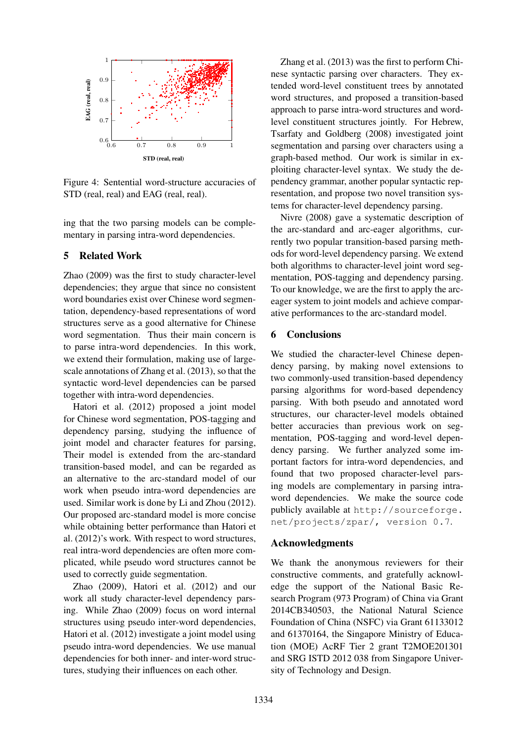

Figure 4: Sentential word-structure accuracies of STD (real, real) and EAG (real, real).

ing that the two parsing models can be complementary in parsing intra-word dependencies.

## 5 Related Work

Zhao (2009) was the first to study character-level dependencies; they argue that since no consistent word boundaries exist over Chinese word segmentation, dependency-based representations of word structures serve as a good alternative for Chinese word segmentation. Thus their main concern is to parse intra-word dependencies. In this work, we extend their formulation, making use of largescale annotations of Zhang et al. (2013), so that the syntactic word-level dependencies can be parsed together with intra-word dependencies.

Hatori et al. (2012) proposed a joint model for Chinese word segmentation, POS-tagging and dependency parsing, studying the influence of joint model and character features for parsing, Their model is extended from the arc-standard transition-based model, and can be regarded as an alternative to the arc-standard model of our work when pseudo intra-word dependencies are used. Similar work is done by Li and Zhou (2012). Our proposed arc-standard model is more concise while obtaining better performance than Hatori et al. (2012)'s work. With respect to word structures, real intra-word dependencies are often more complicated, while pseudo word structures cannot be used to correctly guide segmentation.

Zhao (2009), Hatori et al. (2012) and our work all study character-level dependency parsing. While Zhao (2009) focus on word internal structures using pseudo inter-word dependencies, Hatori et al. (2012) investigate a joint model using pseudo intra-word dependencies. We use manual dependencies for both inner- and inter-word structures, studying their influences on each other.

Zhang et al. (2013) was the first to perform Chinese syntactic parsing over characters. They extended word-level constituent trees by annotated word structures, and proposed a transition-based approach to parse intra-word structures and wordlevel constituent structures jointly. For Hebrew, Tsarfaty and Goldberg (2008) investigated joint segmentation and parsing over characters using a graph-based method. Our work is similar in exploiting character-level syntax. We study the dependency grammar, another popular syntactic representation, and propose two novel transition systems for character-level dependency parsing.

Nivre (2008) gave a systematic description of the arc-standard and arc-eager algorithms, currently two popular transition-based parsing methods for word-level dependency parsing. We extend both algorithms to character-level joint word segmentation, POS-tagging and dependency parsing. To our knowledge, we are the first to apply the arceager system to joint models and achieve comparative performances to the arc-standard model.

## 6 Conclusions

We studied the character-level Chinese dependency parsing, by making novel extensions to two commonly-used transition-based dependency parsing algorithms for word-based dependency parsing. With both pseudo and annotated word structures, our character-level models obtained better accuracies than previous work on segmentation, POS-tagging and word-level dependency parsing. We further analyzed some important factors for intra-word dependencies, and found that two proposed character-level parsing models are complementary in parsing intraword dependencies. We make the source code publicly available at http://sourceforge. net/projects/zpar/, version 0.7.

#### Acknowledgments

We thank the anonymous reviewers for their constructive comments, and gratefully acknowledge the support of the National Basic Research Program (973 Program) of China via Grant 2014CB340503, the National Natural Science Foundation of China (NSFC) via Grant 61133012 and 61370164, the Singapore Ministry of Education (MOE) AcRF Tier 2 grant T2MOE201301 and SRG ISTD 2012 038 from Singapore University of Technology and Design.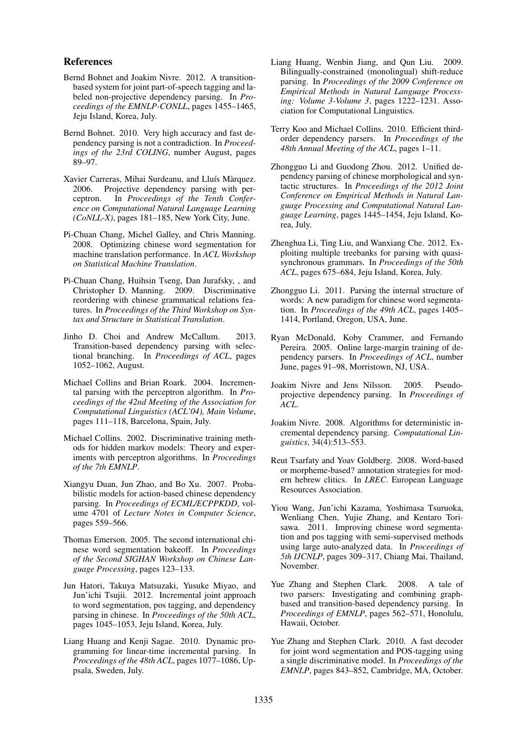### References

- Bernd Bohnet and Joakim Nivre. 2012. A transitionbased system for joint part-of-speech tagging and labeled non-projective dependency parsing. In *Proceedings of the EMNLP-CONLL*, pages 1455–1465, Jeju Island, Korea, July.
- Bernd Bohnet. 2010. Very high accuracy and fast dependency parsing is not a contradiction. In *Proceedings of the 23rd COLING*, number August, pages 89–97.
- Xavier Carreras, Mihai Surdeanu, and Lluís Màrquez. 2006. Projective dependency parsing with per-<br>ceptron. In Proceedings of the Tenth Confer-In *Proceedings of the Tenth Conference on Computational Natural Language Learning (CoNLL-X)*, pages 181–185, New York City, June.
- Pi-Chuan Chang, Michel Galley, and Chris Manning. 2008. Optimizing chinese word segmentation for machine translation performance. In *ACL Workshop on Statistical Machine Translation*.
- Pi-Chuan Chang, Huihsin Tseng, Dan Jurafsky, , and Christopher D. Manning. 2009. Discriminative reordering with chinese grammatical relations features. In *Proceedings of the Third Workshop on Syntax and Structure in Statistical Translation*.
- Jinho D. Choi and Andrew McCallum. 2013. Transition-based dependency parsing with selectional branching. In *Proceedings of ACL*, pages 1052–1062, August.
- Michael Collins and Brian Roark. 2004. Incremental parsing with the perceptron algorithm. In *Proceedings of the 42nd Meeting of the Association for Computational Linguistics (ACL'04), Main Volume*, pages 111–118, Barcelona, Spain, July.
- Michael Collins. 2002. Discriminative training methods for hidden markov models: Theory and experiments with perceptron algorithms. In *Proceedings of the 7th EMNLP*.
- Xiangyu Duan, Jun Zhao, and Bo Xu. 2007. Probabilistic models for action-based chinese dependency parsing. In *Proceedings of ECML/ECPPKDD*, volume 4701 of *Lecture Notes in Computer Science*, pages 559–566.
- Thomas Emerson. 2005. The second international chinese word segmentation bakeoff. In *Proceedings of the Second SIGHAN Workshop on Chinese Language Processing*, pages 123–133.
- Jun Hatori, Takuya Matsuzaki, Yusuke Miyao, and Jun'ichi Tsujii. 2012. Incremental joint approach to word segmentation, pos tagging, and dependency parsing in chinese. In *Proceedings of the 50th ACL*, pages 1045–1053, Jeju Island, Korea, July.
- Liang Huang and Kenji Sagae. 2010. Dynamic programming for linear-time incremental parsing. In *Proceedings of the 48th ACL*, pages 1077–1086, Uppsala, Sweden, July.
- Liang Huang, Wenbin Jiang, and Qun Liu. 2009. Bilingually-constrained (monolingual) shift-reduce parsing. In *Proceedings of the 2009 Conference on Empirical Methods in Natural Language Processing: Volume 3-Volume 3*, pages 1222–1231. Association for Computational Linguistics.
- Terry Koo and Michael Collins. 2010. Efficient thirdorder dependency parsers. In *Proceedings of the 48th Annual Meeting of the ACL*, pages 1–11.
- Zhongguo Li and Guodong Zhou. 2012. Unified dependency parsing of chinese morphological and syntactic structures. In *Proceedings of the 2012 Joint Conference on Empirical Methods in Natural Language Processing and Computational Natural Language Learning*, pages 1445–1454, Jeju Island, Korea, July.
- Zhenghua Li, Ting Liu, and Wanxiang Che. 2012. Exploiting multiple treebanks for parsing with quasisynchronous grammars. In *Proceedings of the 50th ACL*, pages 675–684, Jeju Island, Korea, July.
- Zhongguo Li. 2011. Parsing the internal structure of words: A new paradigm for chinese word segmentation. In *Proceedings of the 49th ACL*, pages 1405– 1414, Portland, Oregon, USA, June.
- Ryan McDonald, Koby Crammer, and Fernando Pereira. 2005. Online large-margin training of dependency parsers. In *Proceedings of ACL*, number June, pages 91–98, Morristown, NJ, USA.
- Joakim Nivre and Jens Nilsson. 2005. Pseudoprojective dependency parsing. In *Proceedings of ACL*.
- Joakim Nivre. 2008. Algorithms for deterministic incremental dependency parsing. *Computational Linguistics*, 34(4):513–553.
- Reut Tsarfaty and Yoav Goldberg. 2008. Word-based or morpheme-based? annotation strategies for modern hebrew clitics. In *LREC*. European Language Resources Association.
- Yiou Wang, Jun'ichi Kazama, Yoshimasa Tsuruoka, Wenliang Chen, Yujie Zhang, and Kentaro Torisawa. 2011. Improving chinese word segmentation and pos tagging with semi-supervised methods using large auto-analyzed data. In *Proceedings of 5th IJCNLP*, pages 309–317, Chiang Mai, Thailand, November.
- Yue Zhang and Stephen Clark. 2008. A tale of two parsers: Investigating and combining graphbased and transition-based dependency parsing. In *Proceedings of EMNLP*, pages 562–571, Honolulu, Hawaii, October.
- Yue Zhang and Stephen Clark. 2010. A fast decoder for joint word segmentation and POS-tagging using a single discriminative model. In *Proceedings of the EMNLP*, pages 843–852, Cambridge, MA, October.